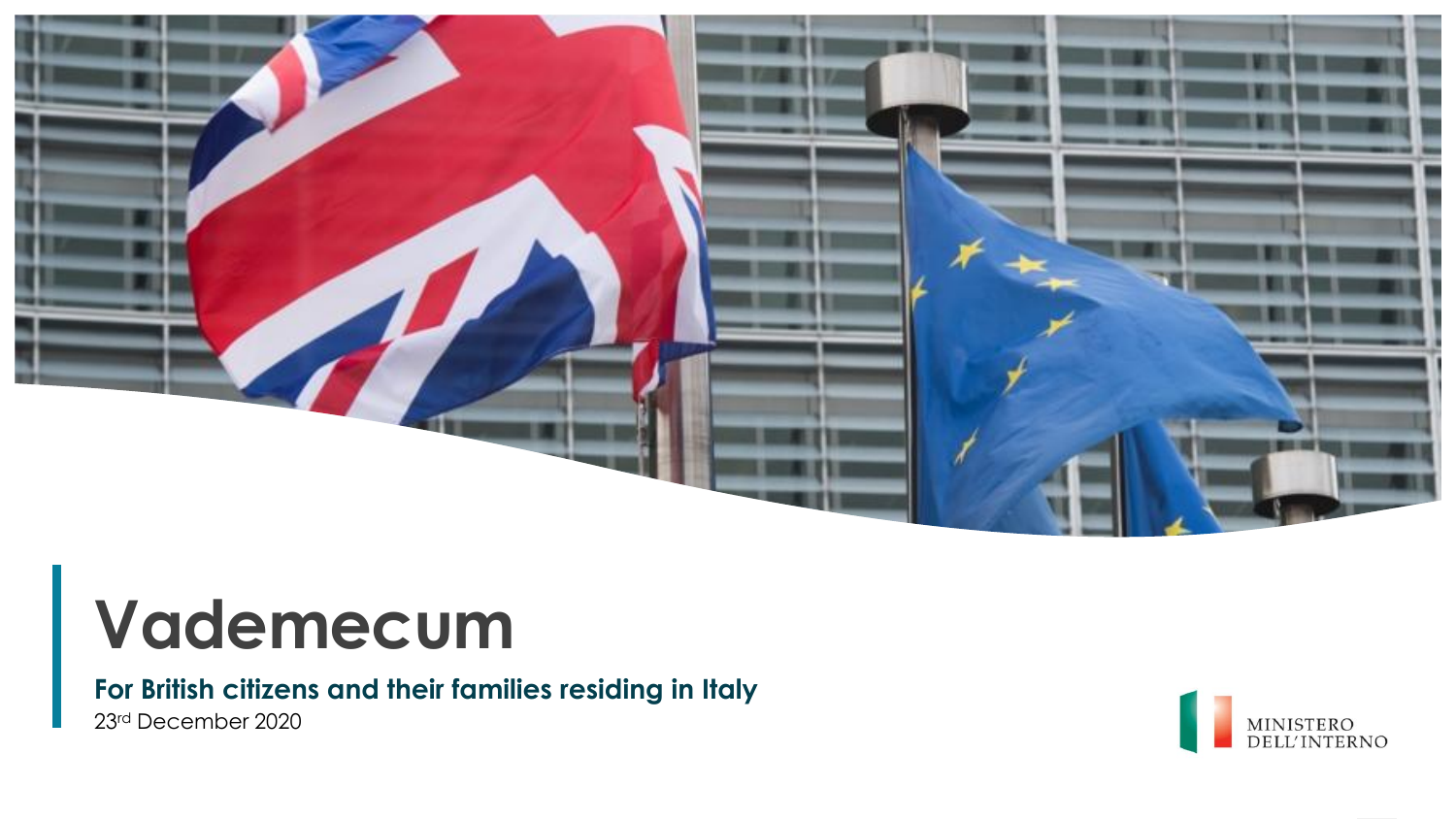

### **For British citizens and their families residing in Italy**

23rd December 2020

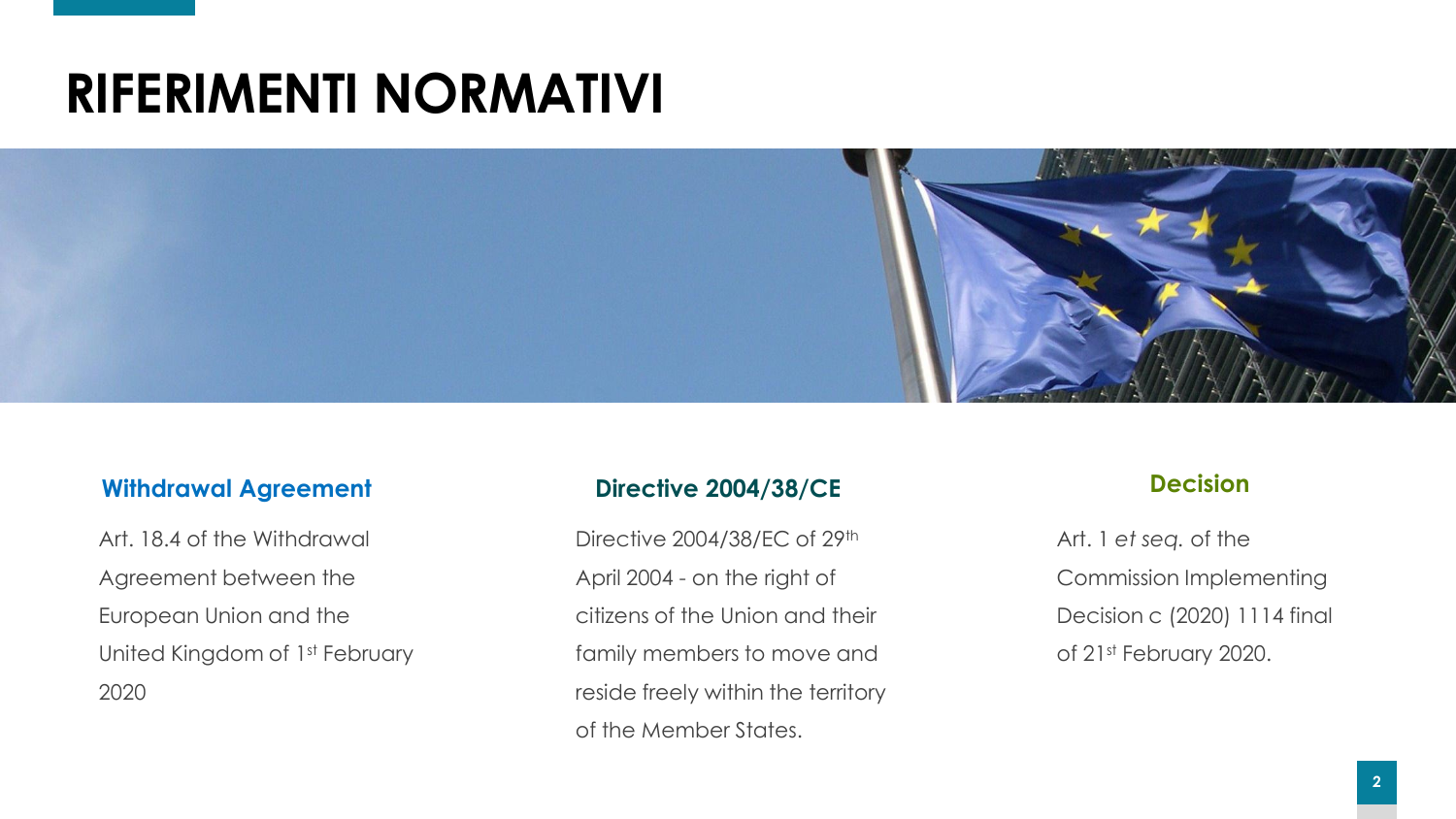## **RIFERIMENTI NORMATIVI**



#### **Withdrawal Agreement**

Art. 18.4 of the Withdrawal Agreement between the European Union and the United Kingdom of 1<sup>st</sup> February 2020

#### **Directive 2004/38/CE**

Directive 2004/38/EC of 29<sup>th</sup> April 2004 - on the right of citizens of the Union and their family members to move and reside freely within the territory of the Member States.

#### **Decision**

Art. 1 *et seq.* of the Commission Implementing Decision c (2020) 1114 final of 21st February 2020.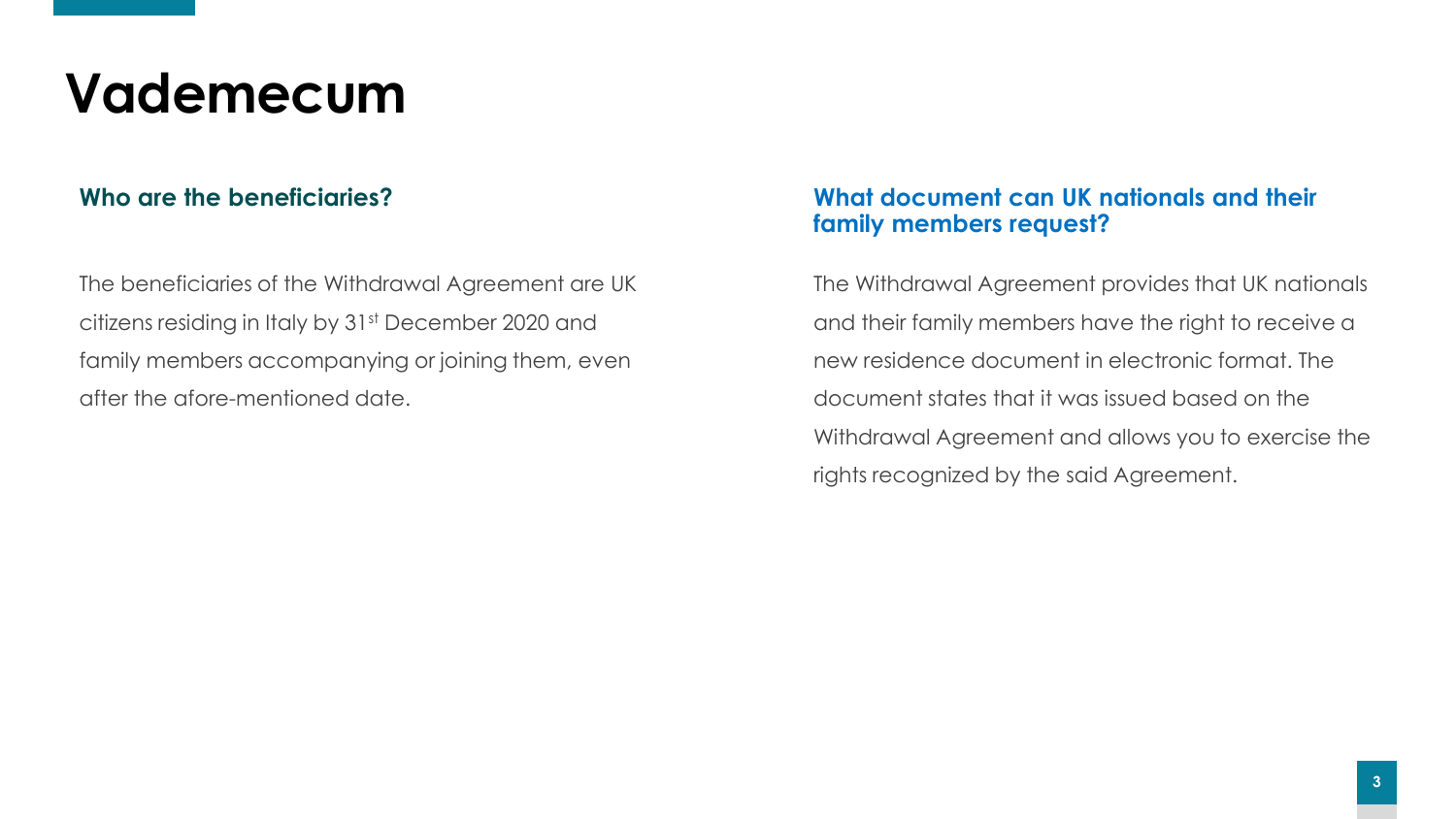The beneficiaries of the Withdrawal Agreement are UK citizens residing in Italy by 31st December 2020 and family members accompanying or joining them, even after the afore-mentioned date.

#### **Who are the beneficiaries? What document can UK nationals and their family members request?**

The Withdrawal Agreement provides that UK nationals and their family members have the right to receive a new residence document in electronic format. The document states that it was issued based on the Withdrawal Agreement and allows you to exercise the rights recognized by the said Agreement.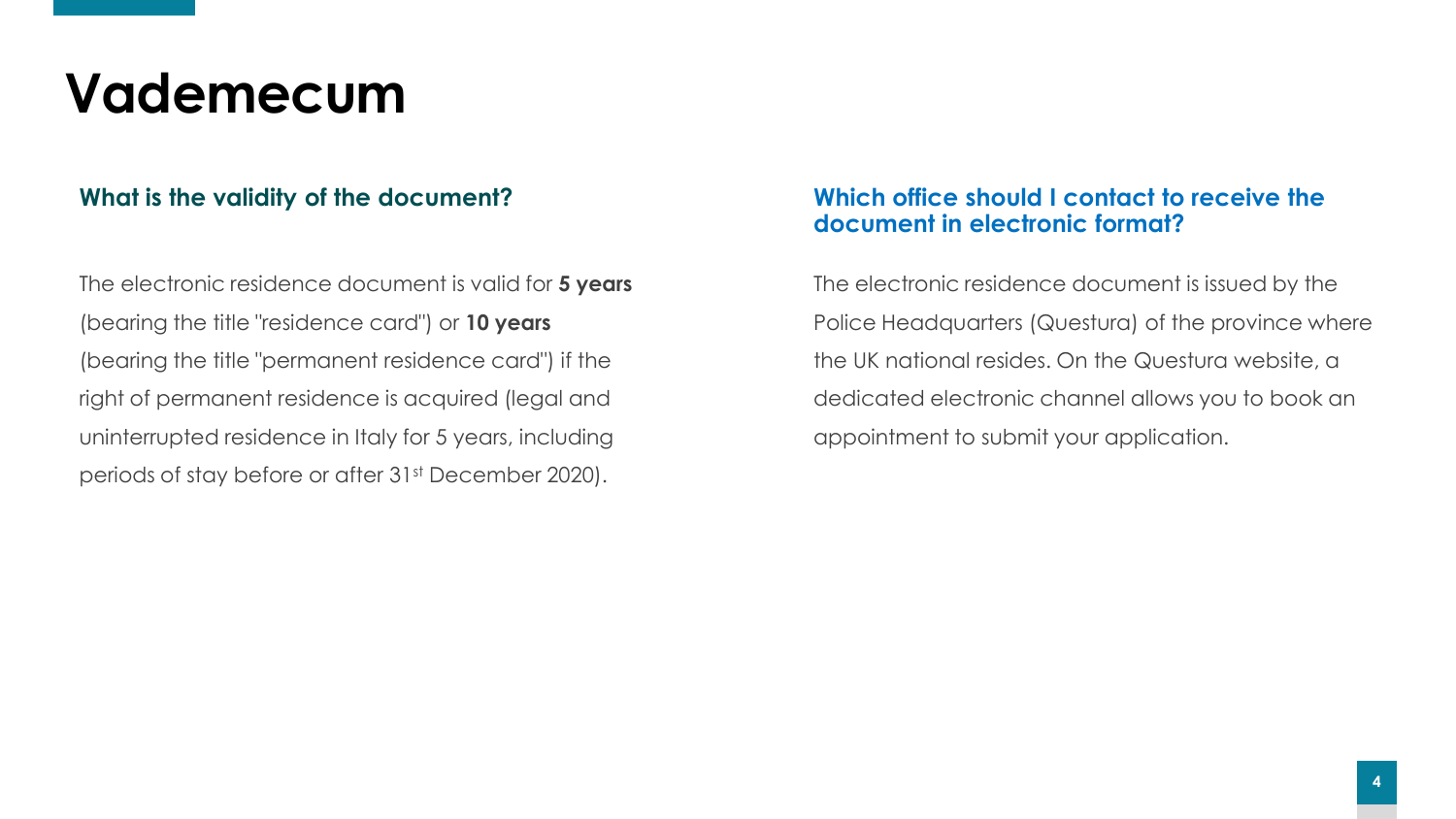The electronic residence document is valid for **5 years** (bearing the title "residence card") or **10 years** (bearing the title "permanent residence card") if the right of permanent residence is acquired (legal and uninterrupted residence in Italy for 5 years, including periods of stay before or after 31st December 2020).

#### **What is the validity of the document? Which office should I contact to receive the document in electronic format?**

The electronic residence document is issued by the Police Headquarters (Questura) of the province where the UK national resides. On the Questura website, a dedicated electronic channel allows you to book an appointment to submit your application.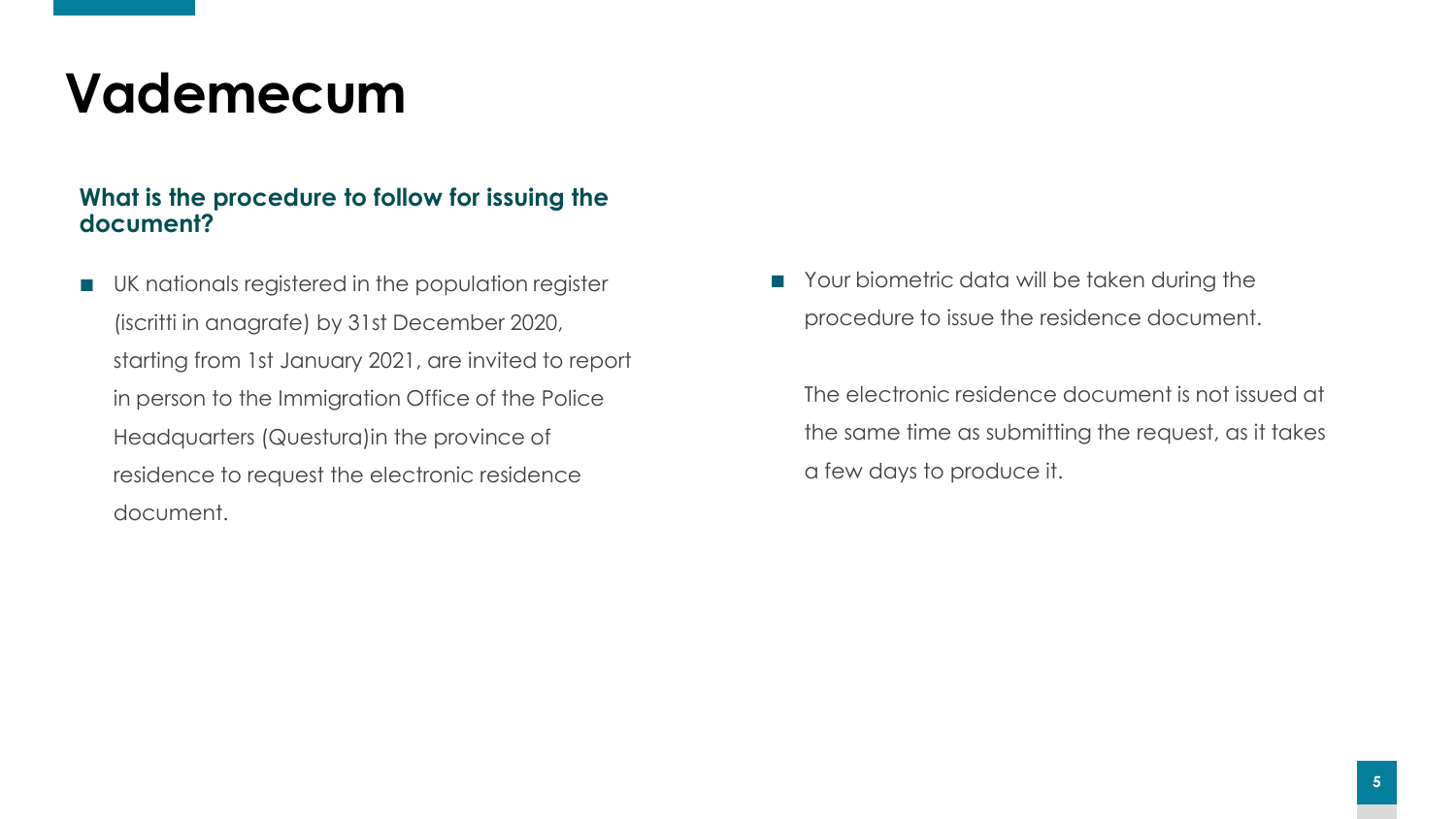#### **What is the procedure to follow for issuing the document?**

UK nationals registered in the population register (iscritti in anagrafe) by 31st December 2020, starting from 1st January 2021, are invited to report in person to the Immigration Office of the Police Headquarters (Questura)in the province of residence to request the electronic residence document.

■ Your biometric data will be taken during the procedure to issue the residence document.

The electronic residence document is not issued at the same time as submitting the request, as it takes a few days to produce it.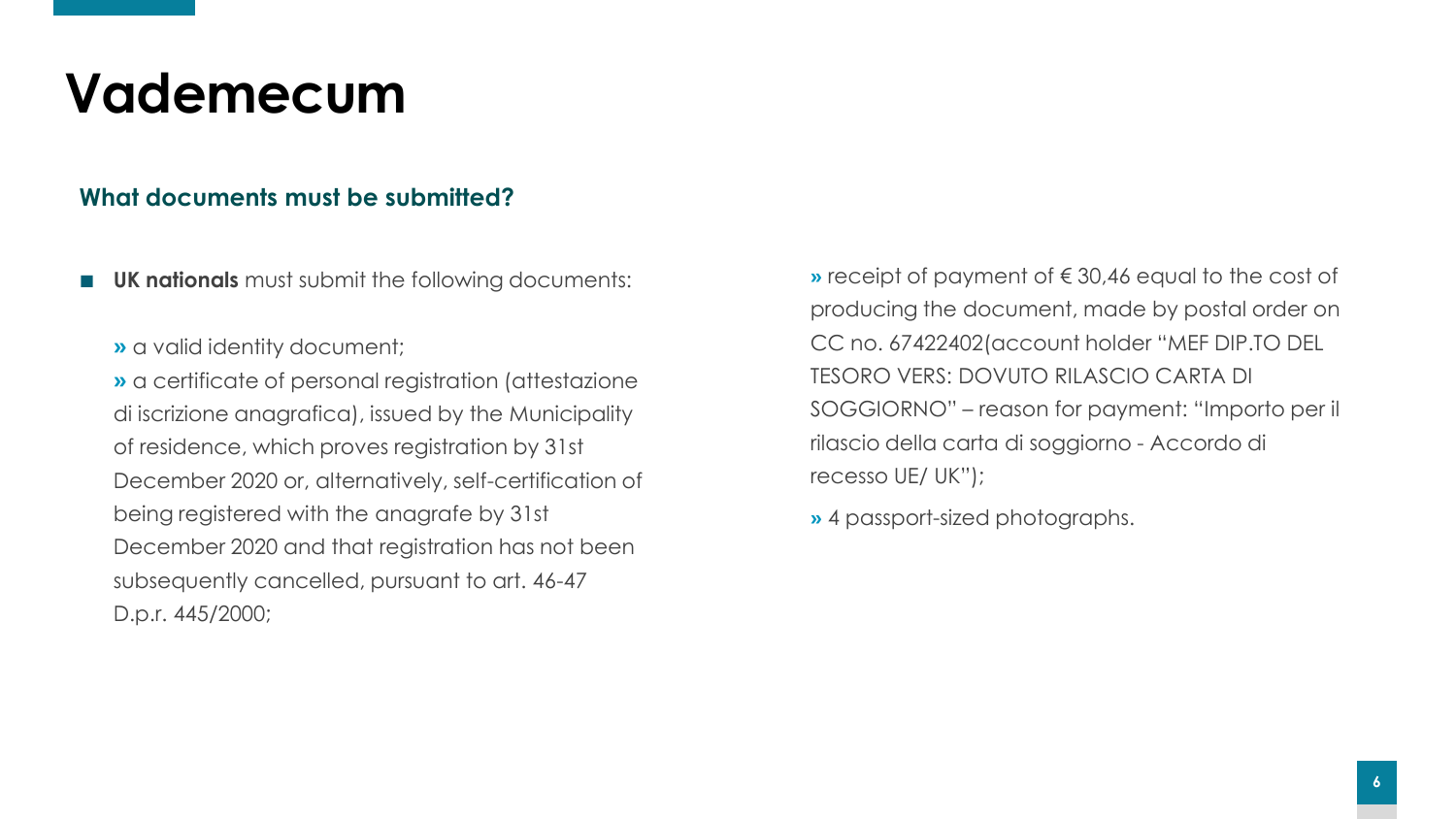### **What documents must be submitted?**

**UK nationals** must submit the following documents:

**»** a valid identity document;

**»** a certificate of personal registration (attestazione di iscrizione anagrafica), issued by the Municipality of residence, which proves registration by 31st December 2020 or, alternatively, self-certification of being registered with the anagrafe by 31st December 2020 and that registration has not been subsequently cancelled, pursuant to art. 46-47 D.p.r. 445/2000;

**»** receipt of payment of € 30,46 equal to the cost of producing the document, made by postal order on CC no. 67422402(account holder "MEF DIP.TO DEL TESORO VERS: DOVUTO RILASCIO CARTA DI SOGGIORNO" – reason for payment: "Importo per il rilascio della carta di soggiorno - Accordo di recesso UE/ UK");

**»** 4 passport-sized photographs.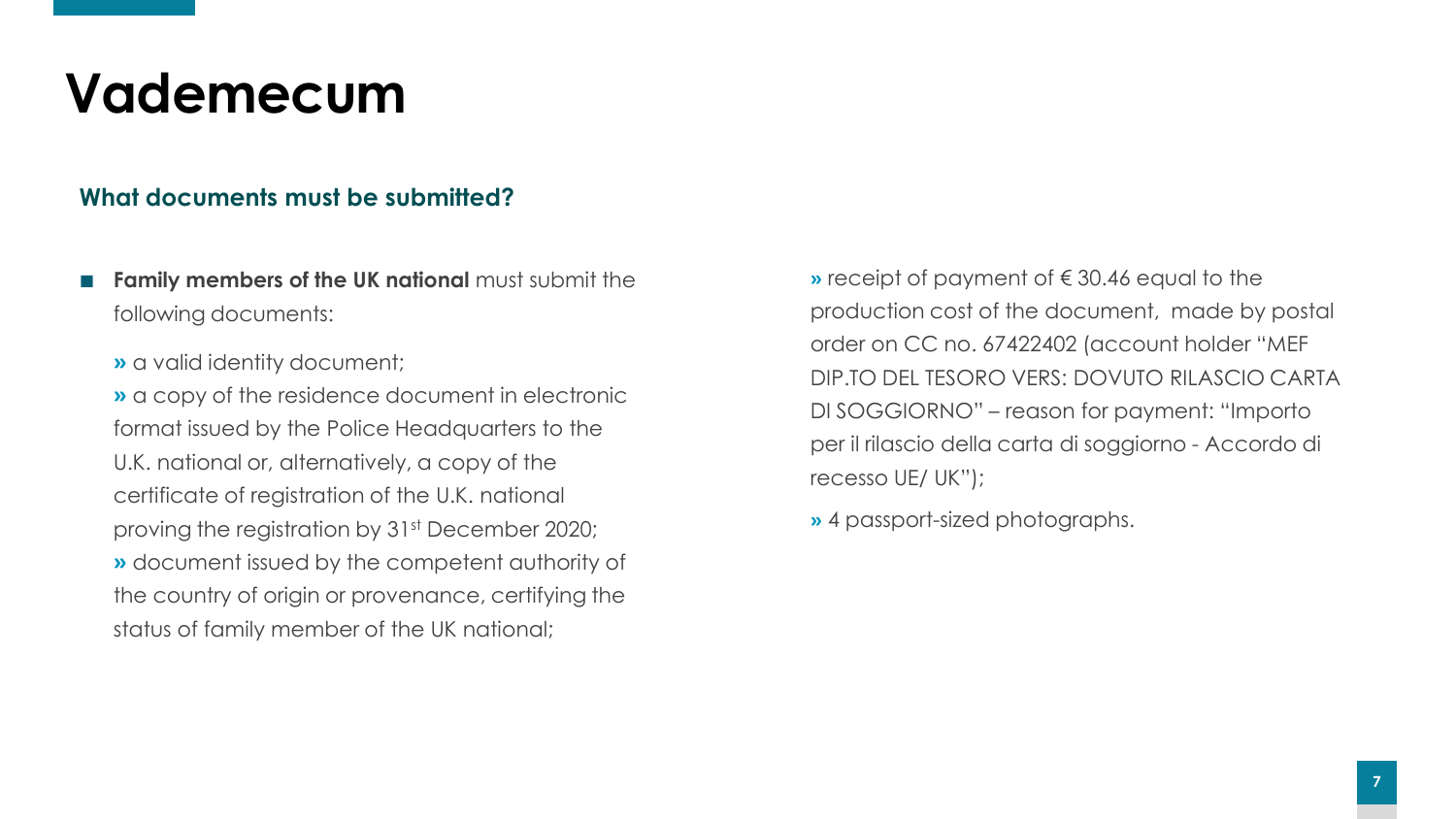### **What documents must be submitted?**

- **Family members of the UK national must submit the** following documents:
	- **»** a valid identity document;

**»** a copy of the residence document in electronic format issued by the Police Headquarters to the U.K. national or, alternatively, a copy of the certificate of registration of the U.K. national proving the registration by 31st December 2020; **»** document issued by the competent authority of the country of origin or provenance, certifying the status of family member of the UK national;

**»** receipt of payment of € 30.46 equal to the production cost of the document, made by postal order on CC no. 67422402 (account holder "MEF DIP.TO DEL TESORO VERS: DOVUTO RILASCIO CARTA DI SOGGIORNO" – reason for payment: "Importo per il rilascio della carta di soggiorno - Accordo di recesso UE/ UK");

**»** 4 passport-sized photographs.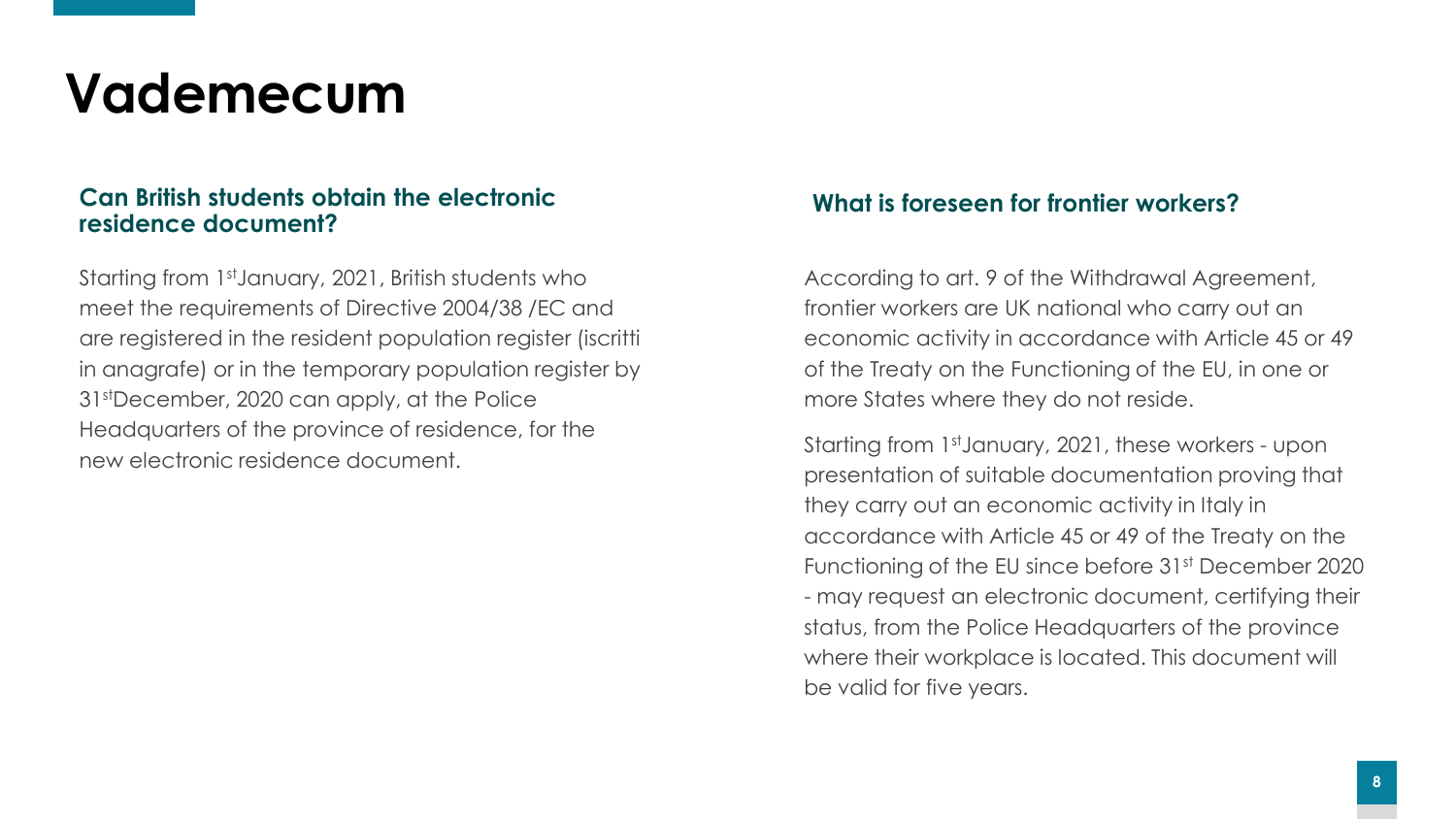#### **Can British students obtain the electronic residence document?**

Starting from 1<sup>st</sup>January, 2021, British students who meet the requirements of Directive 2004/38 /EC and are registered in the resident population register (iscritti in anagrafe) or in the temporary population register by 31stDecember, 2020 can apply, at the Police Headquarters of the province of residence, for the new electronic residence document.

#### **What is foreseen for frontier workers?**

According to art. 9 of the Withdrawal Agreement, frontier workers are UK national who carry out an economic activity in accordance with Article 45 or 49 of the Treaty on the Functioning of the EU, in one or more States where they do not reside.

Starting from 1stJanuary, 2021, these workers - upon presentation of suitable documentation proving that they carry out an economic activity in Italy in accordance with Article 45 or 49 of the Treaty on the Functioning of the EU since before 31<sup>st</sup> December 2020 - may request an electronic document, certifying their status, from the Police Headquarters of the province where their workplace is located. This document will be valid for five years.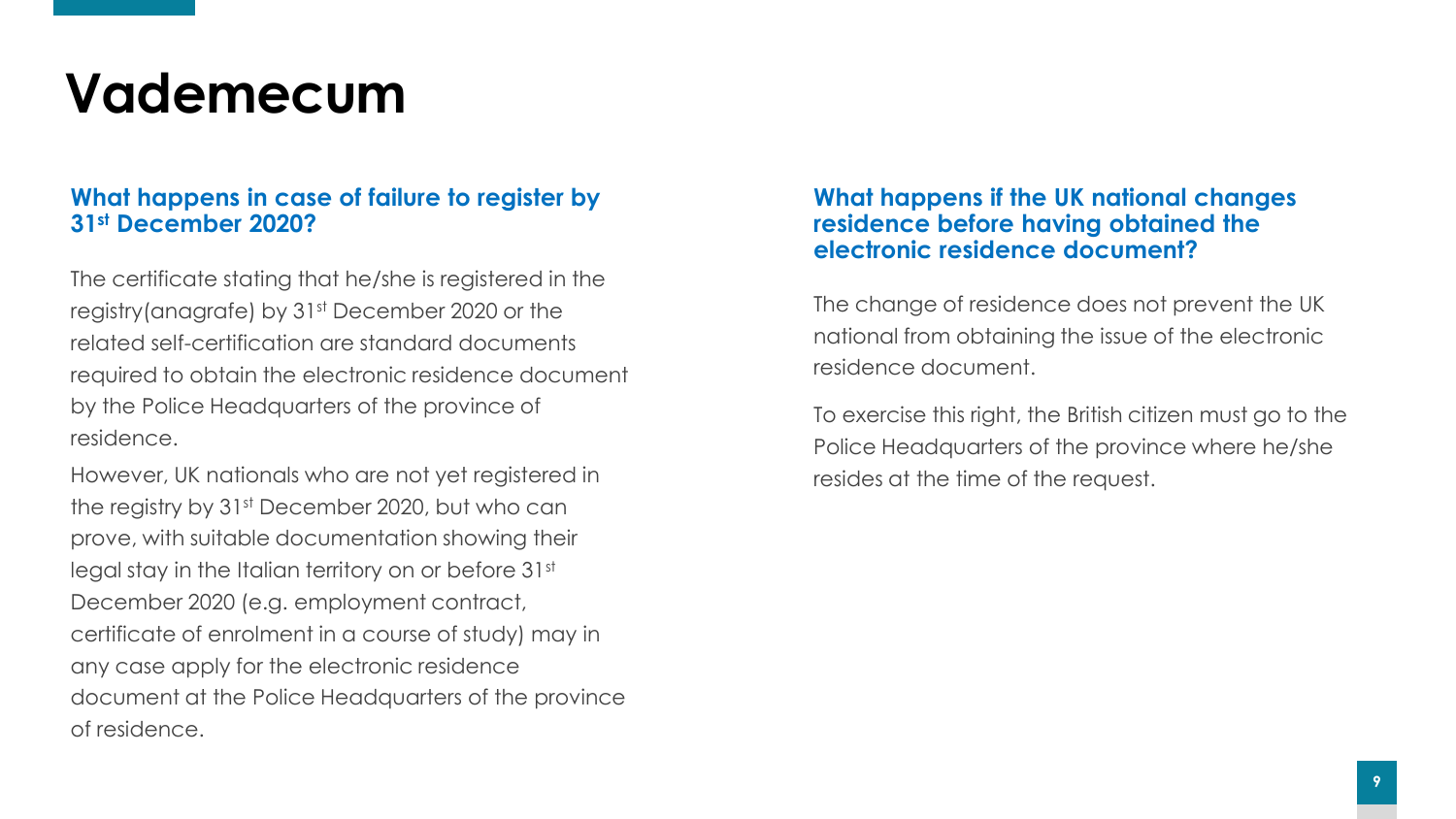#### **What happens in case of failure to register by 31st December 2020?**

The certificate stating that he/she is registered in the registry(anagrafe) by 31<sup>st</sup> December 2020 or the related self-certification are standard documents required to obtain the electronic residence document by the Police Headquarters of the province of residence.

However, UK nationals who are not yet registered in the registry by 31<sup>st</sup> December 2020, but who can prove, with suitable documentation showing their legal stay in the Italian territory on or before 31st December 2020 (e.g. employment contract, certificate of enrolment in a course of study) may in any case apply for the electronic residence document at the Police Headquarters of the province of residence.

#### **What happens if the UK national changes residence before having obtained the electronic residence document?**

The change of residence does not prevent the UK national from obtaining the issue of the electronic residence document.

To exercise this right, the British citizen must go to the Police Headquarters of the province where he/she resides at the time of the request.